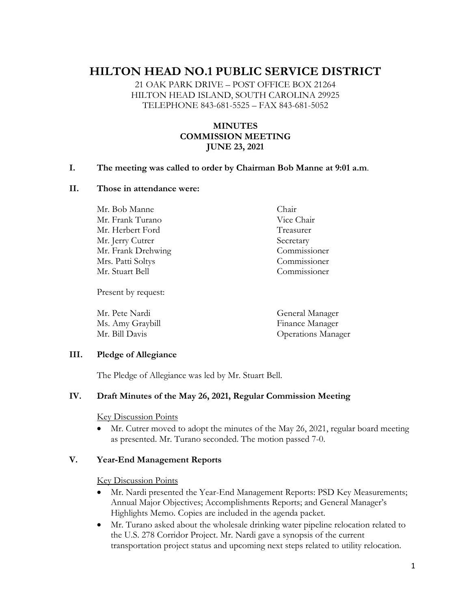# **HILTON HEAD NO.1 PUBLIC SERVICE DISTRICT**

21 OAK PARK DRIVE – POST OFFICE BOX 21264 HILTON HEAD ISLAND, SOUTH CAROLINA 29925 TELEPHONE 843-681-5525 – FAX 843-681-5052

# **MINUTES COMMISSION MEETING JUNE 23, 2021**

## **I. The meeting was called to order by Chairman Bob Manne at 9:01 a.m**.

#### **II. Those in attendance were:**

Mr. Bob Manne Chair Mr. Frank Turano Vice Chair Mr. Herbert Ford Treasurer Mr. Jerry Cutrer Secretary Mr. Frank Drehwing Commissioner Mrs. Patti Soltys Commissioner Mr. Stuart Bell Commissioner

Present by request:

Mr. Pete Nardi General Manager Ms. Amy Graybill Finance Manager Mr. Bill Davis Operations Manager

## **III. Pledge of Allegiance**

The Pledge of Allegiance was led by Mr. Stuart Bell.

## **IV. Draft Minutes of the May 26, 2021, Regular Commission Meeting**

#### Key Discussion Points

• Mr. Cutrer moved to adopt the minutes of the May 26, 2021, regular board meeting as presented. Mr. Turano seconded. The motion passed 7-0.

#### **V. Year-End Management Reports**

Key Discussion Points

- Mr. Nardi presented the Year-End Management Reports: PSD Key Measurements; Annual Major Objectives; Accomplishments Reports; and General Manager's Highlights Memo. Copies are included in the agenda packet.
- Mr. Turano asked about the wholesale drinking water pipeline relocation related to the U.S. 278 Corridor Project. Mr. Nardi gave a synopsis of the current transportation project status and upcoming next steps related to utility relocation.